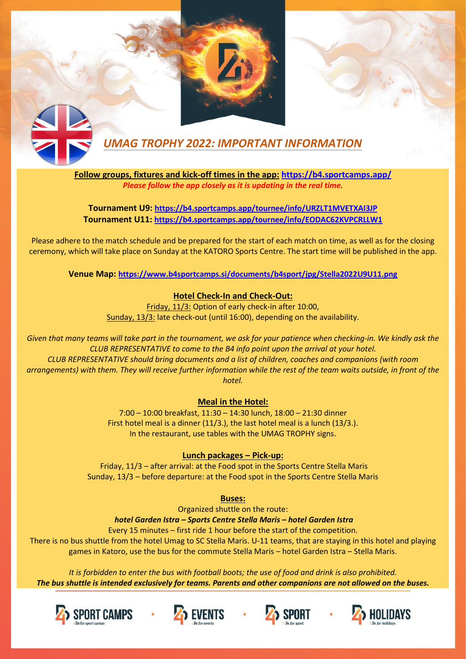



## *UMAG TROPHY 2022: IMPORTANT INFORMATION*

**Follow groups, fixtures and kick-off times in the app: <https://b4.sportcamps.app/>** *Please follow the app closely as it is updating in the real time.* 

**Tournament U9:<https://b4.sportcamps.app/tournee/info/URZLT1MVETXAI3JP> Tournament U11:<https://b4.sportcamps.app/tournee/info/EODAC62KVPCRLLW1>**

Please adhere to the match schedule and be prepared for the start of each match on time, as well as for the closing ceremony, which will take place on Sunday at the KATORO Sports Centre. The start time will be published in the app.

**Venue Map:<https://www.b4sportcamps.si/documents/b4sport/jpg/Stella2022U9U11.png>**

## **Hotel Check-In and Check-Out:**

Friday, 11/3: Option of early check-in after 10:00, Sunday, 13/3: late check-out (until 16:00), depending on the availability.

*Given that many teams will take part in the tournament, we ask for your patience when checking-in. We kindly ask the CLUB REPRESENTATIVE to come to the B4 info point upon the arrival at your hotel. CLUB REPRESENTATIVE should bring documents and a list of children, coaches and companions (with room arrangements) with them. They will receive further information while the rest of the team waits outside, in front of the hotel.*

## **Meal in the Hotel:**

7:00 – 10:00 breakfast, 11:30 – 14:30 lunch, 18:00 – 21:30 dinner First hotel meal is a dinner (11/3.), the last hotel meal is a lunch (13/3.). In the restaurant, use tables with the UMAG TROPHY signs.

## **Lunch packages – Pick-up:**

Friday, 11/3 – after arrival: at the Food spot in the Sports Centre Stella Maris Sunday, 13/3 – before departure: at the Food spot in the Sports Centre Stella Maris

**Buses:** 

Organized shuttle on the route:

*hotel Garden Istra – Sports Centre Stella Maris – hotel Garden Istra* 

Every 15 minutes – first ride 1 hour before the start of the competition.

There is no bus shuttle from the hotel Umag to SC Stella Maris. U-11 teams, that are staying in this hotel and playing games in Katoro, use the bus for the commute Stella Maris – hotel Garden Istra – Stella Maris.

*It is forbidden to enter the bus with football boots; the use of food and drink is also prohibited. The bus shuttle is intended exclusively for teams. Parents and other companions are not allowed on the buses.*







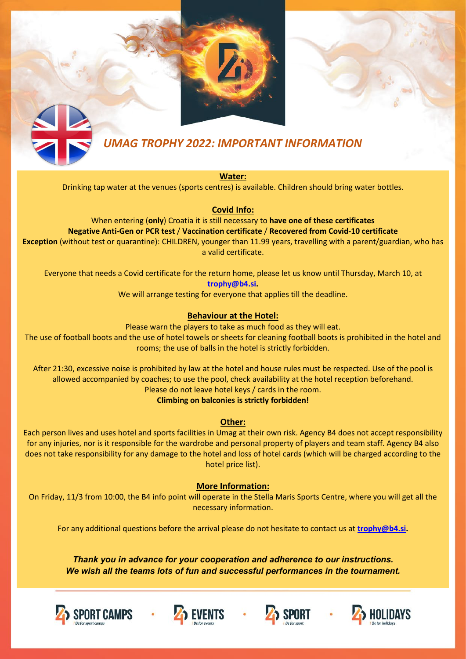# *UMAG TROPHY 2022: IMPORTANT INFORMATION*

**Water:**

Drinking tap water at the venues (sports centres) is available. Children should bring water bottles.

**Covid Info:** 

When entering (**only**) Croatia it is still necessary to **have one of these certificates Negative Anti-Gen or PCR test** / **Vaccination certificate** / **Recovered from Covid-10 certificate Exception** (without test or quarantine): CHILDREN, younger than 11.99 years, travelling with a parent/guardian, who has a valid certificate.

Everyone that needs a Covid certificate for the return home, please let us know until Thursday, March 10, at **[trophy@b4.si.](mailto:trophy@b4.si)** 

We will arrange testing for everyone that applies till the deadline.

## **Behaviour at the Hotel:**

Please warn the players to take as much food as they will eat. The use of football boots and the use of hotel towels or sheets for cleaning football boots is prohibited in the hotel and rooms; the use of balls in the hotel is strictly forbidden.

After 21:30, excessive noise is prohibited by law at the hotel and house rules must be respected. Use of the pool is allowed accompanied by coaches; to use the pool, check availability at the hotel reception beforehand. Please do not leave hotel keys / cards in the room.

**Climbing on balconies is strictly forbidden!**

### **Other:**

Each person lives and uses hotel and sports facilities in Umag at their own risk. Agency B4 does not accept responsibility for any injuries, nor is it responsible for the wardrobe and personal property of players and team staff. Agency B4 also does not take responsibility for any damage to the hotel and loss of hotel cards (which will be charged according to the hotel price list).

### **More Information:**

On Friday, 11/3 from 10:00, the B4 info point will operate in the Stella Maris Sports Centre, where you will get all the necessary information.

For any additional questions before the arrival please do not hesitate to contact us at **[trophy@b4.si.](mailto:trophy@b4.si)**

*Thank you in advance for your cooperation and adherence to our instructions. We wish all the teams lots of fun and successful performances in the tournament.* 







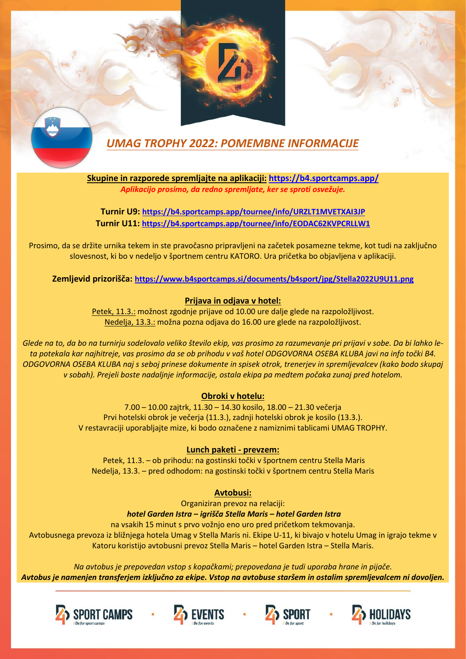



## *UMAG TROPHY 2022: POMEMBNE INFORMACIJE*

**Skupine in razporede spremljajte na aplikaciji: <https://b4.sportcamps.app/>** *Aplikacijo prosimo, da redno spremljate, ker se sproti osvežuje.* 

**Turnir U9: <https://b4.sportcamps.app/tournee/info/URZLT1MVETXAI3JP> Turnir U11:<https://b4.sportcamps.app/tournee/info/EODAC62KVPCRLLW1>**

Prosimo, da se držite urnika tekem in ste pravočasno pripravljeni na začetek posamezne tekme, kot tudi na zaključno slovesnost, ki bo v nedeljo v športnem centru KATORO. Ura pričetka bo objavljena v aplikaciji.

**Zemljevid prizorišča: <https://www.b4sportcamps.si/documents/b4sport/jpg/Stella2022U9U11.png>**

## **Prijava in odjava v hotel:**

Petek, 11.3.: možnost zgodnje prijave od 10.00 ure dalje glede na razpoložljivost. Nedelja, 13.3.: možna pozna odjava do 16.00 ure glede na razpoložljivost.

*Glede na to, da bo na turnirju sodelovalo veliko število ekip, vas prosimo za razumevanje pri prijavi v sobe. Da bi lahko leta potekala kar najhitreje, vas prosimo da se ob prihodu v vaš hotel ODGOVORNA OSEBA KLUBA javi na info točki B4. ODGOVORNA OSEBA KLUBA naj s seboj prinese dokumente in spisek otrok, trenerjev in spremljevalcev (kako bodo skupaj v sobah). Prejeli boste nadaljnje informacije, ostala ekipa pa medtem počaka zunaj pred hotelom.*

### **Obroki v hotelu:**

7.00 – 10.00 zajtrk, 11.30 – 14.30 kosilo, 18.00 – 21.30 večerja Prvi hotelski obrok je večerja (11.3.), zadnji hotelski obrok je kosilo (13.3.). V restavraciji uporabljajte mize, ki bodo označene z namiznimi tablicami UMAG TROPHY.

### **Lunch paketi - prevzem:**

Petek, 11.3. – ob prihodu: na gostinski točki v športnem centru Stella Maris Nedelja, 13.3. – pred odhodom: na gostinski točki v športnem centru Stella Maris

### **Avtobusi:**

Organiziran prevoz na relaciji: *hotel Garden Istra – igrišča Stella Maris – hotel Garden Istra* 

na vsakih 15 minut s prvo vožnjo eno uro pred pričetkom tekmovanja.

Avtobusnega prevoza iz bližnjega hotela Umag v Stella Maris ni. Ekipe U-11, ki bivajo v hotelu Umag in igrajo tekme v Katoru koristijo avtobusni prevoz Stella Maris – hotel Garden Istra – Stella Maris.

*Na avtobus je prepovedan vstop s kopačkami; prepovedana je tudi uporaba hrane in pijače. Avtobus je namenjen transferjem izključno za ekipe. Vstop na avtobuse staršem in ostalim spremljevalcem ni dovoljen.*